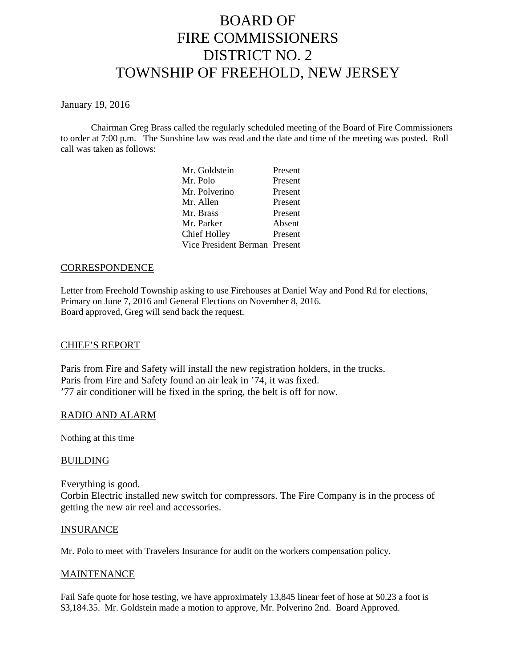# BOARD OF FIRE COMMISSIONERS DISTRICT NO. 2 TOWNSHIP OF FREEHOLD, NEW JERSEY

January 19, 2016

Chairman Greg Brass called the regularly scheduled meeting of the Board of Fire Commissioners to order at 7:00 p.m. The Sunshine law was read and the date and time of the meeting was posted. Roll call was taken as follows:

| Mr. Goldstein                 | Present |
|-------------------------------|---------|
| Mr. Polo                      | Present |
| Mr. Polverino                 | Present |
| Mr. Allen                     | Present |
| Mr. Brass                     | Present |
| Mr. Parker                    | Absent  |
| Chief Holley                  | Present |
| Vice President Berman Present |         |

## **CORRESPONDENCE**

Letter from Freehold Township asking to use Firehouses at Daniel Way and Pond Rd for elections, Primary on June 7, 2016 and General Elections on November 8, 2016. Board approved, Greg will send back the request.

#### CHIEF'S REPORT

Paris from Fire and Safety will install the new registration holders, in the trucks. Paris from Fire and Safety found an air leak in '74, it was fixed. '77 air conditioner will be fixed in the spring, the belt is off for now.

#### RADIO AND ALARM

Nothing at this time

#### **BUILDING**

Everything is good. Corbin Electric installed new switch for compressors. The Fire Company is in the process of getting the new air reel and accessories.

#### INSURANCE

Mr. Polo to meet with Travelers Insurance for audit on the workers compensation policy.

#### **MAINTENANCE**

Fail Safe quote for hose testing, we have approximately 13,845 linear feet of hose at \$0.23 a foot is \$3,184.35. Mr. Goldstein made a motion to approve, Mr. Polverino 2nd. Board Approved.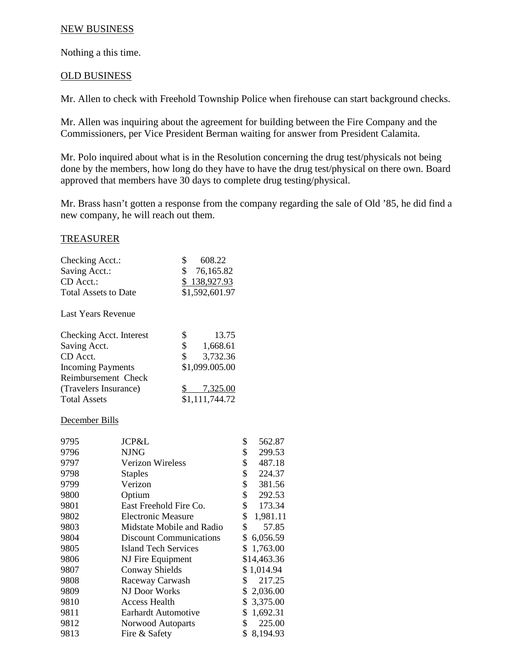## NEW BUSINESS

Nothing a this time.

# OLD BUSINESS

Mr. Allen to check with Freehold Township Police when firehouse can start background checks.

Mr. Allen was inquiring about the agreement for building between the Fire Company and the Commissioners, per Vice President Berman waiting for answer from President Calamita.

Mr. Polo inquired about what is in the Resolution concerning the drug test/physicals not being done by the members, how long do they have to have the drug test/physical on there own. Board approved that members have 30 days to complete drug testing/physical.

Mr. Brass hasn't gotten a response from the company regarding the sale of Old '85, he did find a new company, he will reach out them.

#### TREASURER

| Checking Acct.:<br>Saving Acct.:           | 608.22<br>Ж<br>\$76,165.82     |
|--------------------------------------------|--------------------------------|
| $CD$ Acct.:<br><b>Total Assets to Date</b> | \$138,927.93<br>\$1,592,601.97 |
| Last Years Revenue                         |                                |

| Checking Acct. Interest  | 13.75          |
|--------------------------|----------------|
| Saving Acct.             | \$<br>1,668.61 |
| CD Acct.                 | 3,732.36<br>\$ |
| <b>Incoming Payments</b> | \$1,099.005.00 |
| Reimbursement Check      |                |
| (Travelers Insurance)    | 7,325.00       |
| <b>Total Assets</b>      | \$1,111,744.72 |

#### December Bills

| JCP&L                          | \$<br>562.87      |
|--------------------------------|-------------------|
| <b>NJNG</b>                    | \$<br>299.53      |
| Verizon Wireless               | \$<br>487.18      |
| <b>Staples</b>                 | \$<br>224.37      |
| Verizon                        | \$<br>381.56      |
| Optium                         | \$<br>292.53      |
| East Freehold Fire Co.         | \$<br>173.34      |
| <b>Electronic Measure</b>      | \$<br>1,981.11    |
| Midstate Mobile and Radio      | \$<br>57.85       |
| <b>Discount Communications</b> | \$<br>6,056.59    |
| <b>Island Tech Services</b>    | \$1,763.00        |
|                                | \$14,463.36       |
| <b>Conway Shields</b>          | \$1,014.94        |
| Raceway Carwash                | 217.25<br>\$      |
| NJ Door Works                  | \$2,036.00        |
| Access Health                  | \$3,375.00        |
| Earhardt Automotive            | 1,692.31<br>\$    |
| Norwood Autoparts              | \$<br>225.00      |
| Fire & Safety                  | \$<br>8,194.93    |
|                                | NJ Fire Equipment |